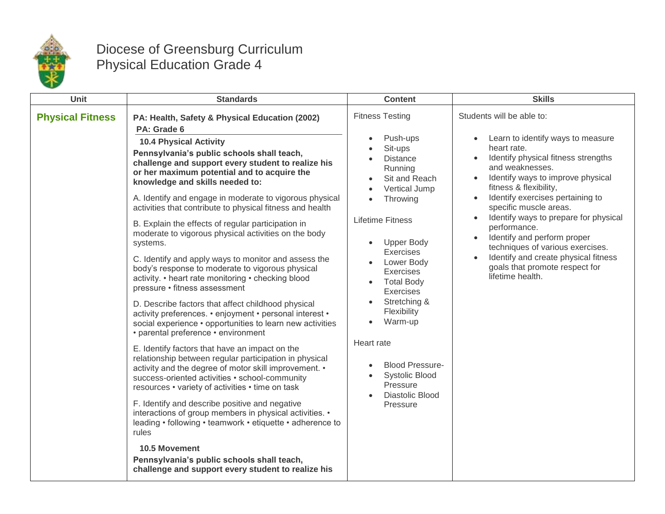

## Diocese of Greensburg Curriculum Physical Education Grade 4

| Unit                    | <b>Standards</b>                                                                                                                                                                                                                                                                                                                                                                                                                                                                                                                                                                                                                                                                                                                                                                                                                                                                                                                                                                                                                                                                                                                                                                                                                                                                                                                                                                                                                                                                                                                                         | <b>Content</b>                                                                                                                                                                                                                                                                                                                                                                                                                | <b>Skills</b>                                                                                                                                                                                                                                                                                                                                                                                                                                                                                                            |
|-------------------------|----------------------------------------------------------------------------------------------------------------------------------------------------------------------------------------------------------------------------------------------------------------------------------------------------------------------------------------------------------------------------------------------------------------------------------------------------------------------------------------------------------------------------------------------------------------------------------------------------------------------------------------------------------------------------------------------------------------------------------------------------------------------------------------------------------------------------------------------------------------------------------------------------------------------------------------------------------------------------------------------------------------------------------------------------------------------------------------------------------------------------------------------------------------------------------------------------------------------------------------------------------------------------------------------------------------------------------------------------------------------------------------------------------------------------------------------------------------------------------------------------------------------------------------------------------|-------------------------------------------------------------------------------------------------------------------------------------------------------------------------------------------------------------------------------------------------------------------------------------------------------------------------------------------------------------------------------------------------------------------------------|--------------------------------------------------------------------------------------------------------------------------------------------------------------------------------------------------------------------------------------------------------------------------------------------------------------------------------------------------------------------------------------------------------------------------------------------------------------------------------------------------------------------------|
| <b>Physical Fitness</b> | PA: Health, Safety & Physical Education (2002)<br>PA: Grade 6<br><b>10.4 Physical Activity</b><br>Pennsylvania's public schools shall teach,<br>challenge and support every student to realize his<br>or her maximum potential and to acquire the<br>knowledge and skills needed to:<br>A. Identify and engage in moderate to vigorous physical<br>activities that contribute to physical fitness and health<br>B. Explain the effects of regular participation in<br>moderate to vigorous physical activities on the body<br>systems.<br>C. Identify and apply ways to monitor and assess the<br>body's response to moderate to vigorous physical<br>activity. • heart rate monitoring • checking blood<br>pressure • fitness assessment<br>D. Describe factors that affect childhood physical<br>activity preferences. • enjoyment • personal interest •<br>social experience • opportunities to learn new activities<br>• parental preference • environment<br>E. Identify factors that have an impact on the<br>relationship between regular participation in physical<br>activity and the degree of motor skill improvement. •<br>success-oriented activities • school-community<br>resources • variety of activities • time on task<br>F. Identify and describe positive and negative<br>interactions of group members in physical activities. •<br>leading • following • teamwork • etiquette • adherence to<br>rules<br><b>10.5 Movement</b><br>Pennsylvania's public schools shall teach,<br>challenge and support every student to realize his | <b>Fitness Testing</b><br>Push-ups<br>Sit-ups<br><b>Distance</b><br>Running<br>Sit and Reach<br>Vertical Jump<br>Throwing<br><b>Lifetime Fitness</b><br><b>Upper Body</b><br>Exercises<br>Lower Body<br>Exercises<br><b>Total Body</b><br>Exercises<br>Stretching &<br>Flexibility<br>Warm-up<br>$\bullet$<br>Heart rate<br><b>Blood Pressure-</b><br><b>Systolic Blood</b><br>Pressure<br><b>Diastolic Blood</b><br>Pressure | Students will be able to:<br>Learn to identify ways to measure<br>$\bullet$<br>heart rate.<br>Identify physical fitness strengths<br>and weaknesses.<br>Identify ways to improve physical<br>fitness & flexibility,<br>Identify exercises pertaining to<br>specific muscle areas.<br>Identify ways to prepare for physical<br>performance.<br>Identify and perform proper<br>$\bullet$<br>techniques of various exercises.<br>Identify and create physical fitness<br>goals that promote respect for<br>lifetime health. |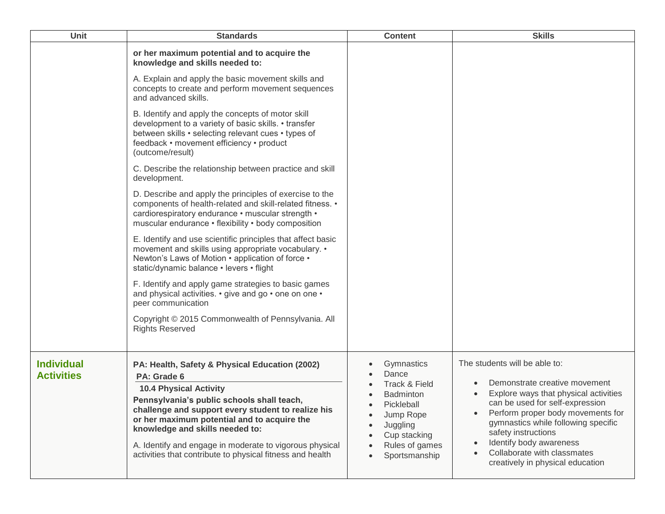| <b>Unit</b>                            | <b>Standards</b>                                                                                                                                                                                                                                                                                                                                                                                             | <b>Content</b>                                                                                                                                     | <b>Skills</b>                                                                                                                                                                                                                                                                                                                               |
|----------------------------------------|--------------------------------------------------------------------------------------------------------------------------------------------------------------------------------------------------------------------------------------------------------------------------------------------------------------------------------------------------------------------------------------------------------------|----------------------------------------------------------------------------------------------------------------------------------------------------|---------------------------------------------------------------------------------------------------------------------------------------------------------------------------------------------------------------------------------------------------------------------------------------------------------------------------------------------|
|                                        | or her maximum potential and to acquire the<br>knowledge and skills needed to:                                                                                                                                                                                                                                                                                                                               |                                                                                                                                                    |                                                                                                                                                                                                                                                                                                                                             |
|                                        | A. Explain and apply the basic movement skills and<br>concepts to create and perform movement sequences<br>and advanced skills.                                                                                                                                                                                                                                                                              |                                                                                                                                                    |                                                                                                                                                                                                                                                                                                                                             |
|                                        | B. Identify and apply the concepts of motor skill<br>development to a variety of basic skills. • transfer<br>between skills • selecting relevant cues • types of<br>feedback • movement efficiency • product<br>(outcome/result)                                                                                                                                                                             |                                                                                                                                                    |                                                                                                                                                                                                                                                                                                                                             |
|                                        | C. Describe the relationship between practice and skill<br>development.                                                                                                                                                                                                                                                                                                                                      |                                                                                                                                                    |                                                                                                                                                                                                                                                                                                                                             |
|                                        | D. Describe and apply the principles of exercise to the<br>components of health-related and skill-related fitness. •<br>cardiorespiratory endurance • muscular strength •<br>muscular endurance • flexibility • body composition                                                                                                                                                                             |                                                                                                                                                    |                                                                                                                                                                                                                                                                                                                                             |
|                                        | E. Identify and use scientific principles that affect basic<br>movement and skills using appropriate vocabulary. •<br>Newton's Laws of Motion • application of force •<br>static/dynamic balance • levers • flight                                                                                                                                                                                           |                                                                                                                                                    |                                                                                                                                                                                                                                                                                                                                             |
|                                        | F. Identify and apply game strategies to basic games<br>and physical activities. • give and go • one on one •<br>peer communication                                                                                                                                                                                                                                                                          |                                                                                                                                                    |                                                                                                                                                                                                                                                                                                                                             |
|                                        | Copyright © 2015 Commonwealth of Pennsylvania. All<br><b>Rights Reserved</b>                                                                                                                                                                                                                                                                                                                                 |                                                                                                                                                    |                                                                                                                                                                                                                                                                                                                                             |
| <b>Individual</b><br><b>Activities</b> | PA: Health, Safety & Physical Education (2002)<br>PA: Grade 6<br><b>10.4 Physical Activity</b><br>Pennsylvania's public schools shall teach,<br>challenge and support every student to realize his<br>or her maximum potential and to acquire the<br>knowledge and skills needed to:<br>A. Identify and engage in moderate to vigorous physical<br>activities that contribute to physical fitness and health | Gymnastics<br>Dance<br>Track & Field<br><b>Badminton</b><br>Pickleball<br>Jump Rope<br>Juggling<br>Cup stacking<br>Rules of games<br>Sportsmanship | The students will be able to:<br>Demonstrate creative movement<br>Explore ways that physical activities<br>can be used for self-expression<br>Perform proper body movements for<br>gymnastics while following specific<br>safety instructions<br>Identify body awareness<br>Collaborate with classmates<br>creatively in physical education |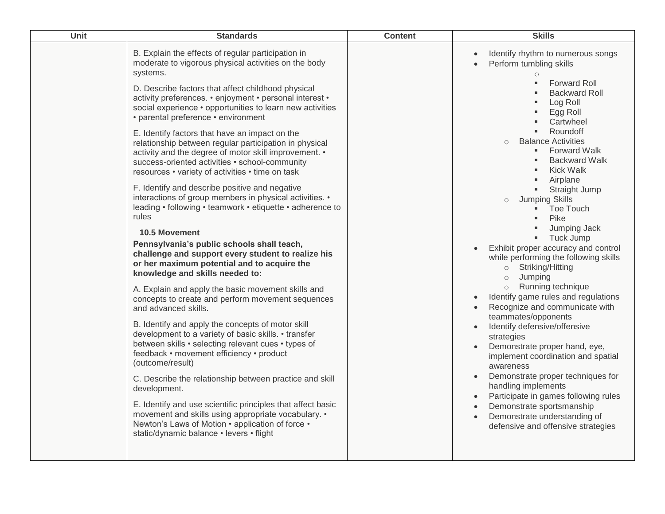| B. Explain the effects of regular participation in<br>Identify rhythm to numerous songs<br>moderate to vigorous physical activities on the body<br>Perform tumbling skills<br>$\bullet$<br>systems.<br>$\circ$<br>Forward Roll<br>D. Describe factors that affect childhood physical<br><b>Backward Roll</b><br>activity preferences. • enjoyment • personal interest •<br>Log Roll<br>social experience • opportunities to learn new activities<br>Egg Roll<br>• parental preference • environment<br>Cartwheel<br>Roundoff<br>E. Identify factors that have an impact on the<br><b>Balance Activities</b><br>$\circ$<br>relationship between regular participation in physical<br><b>Forward Walk</b><br>$\blacksquare$<br>activity and the degree of motor skill improvement. •<br><b>Backward Walk</b><br>success-oriented activities • school-community<br>Kick Walk<br>resources • variety of activities • time on task<br>Airplane<br>F. Identify and describe positive and negative<br><b>Straight Jump</b><br>interactions of group members in physical activities. •<br><b>Jumping Skills</b><br>$\circ$<br>leading • following • teamwork • etiquette • adherence to<br>Toe Touch<br>rules<br>Pike<br>Jumping Jack<br><b>10.5 Movement</b><br>Tuck Jump<br>Pennsylvania's public schools shall teach,<br>Exhibit proper accuracy and control<br>challenge and support every student to realize his<br>while performing the following skills<br>or her maximum potential and to acquire the<br>Striking/Hitting<br>$\circ$<br>knowledge and skills needed to:<br>Jumping<br>$\circ$<br>Running technique<br>$\circ$<br>A. Explain and apply the basic movement skills and<br>Identify game rules and regulations<br>$\bullet$<br>concepts to create and perform movement sequences<br>Recognize and communicate with<br>and advanced skills.<br>teammates/opponents<br>B. Identify and apply the concepts of motor skill<br>Identify defensive/offensive<br>$\bullet$<br>development to a variety of basic skills. • transfer<br>strategies<br>between skills • selecting relevant cues • types of<br>Demonstrate proper hand, eye,<br>feedback • movement efficiency • product<br>implement coordination and spatial<br>(outcome/result)<br>awareness<br>Demonstrate proper techniques for<br>C. Describe the relationship between practice and skill<br>handling implements<br>development.<br>Participate in games following rules<br>E. Identify and use scientific principles that affect basic<br>Demonstrate sportsmanship<br>movement and skills using appropriate vocabulary. •<br>Demonstrate understanding of<br>Newton's Laws of Motion • application of force •<br>defensive and offensive strategies<br>static/dynamic balance • levers • flight | Unit | <b>Standards</b> | <b>Content</b> | <b>Skills</b> |
|--------------------------------------------------------------------------------------------------------------------------------------------------------------------------------------------------------------------------------------------------------------------------------------------------------------------------------------------------------------------------------------------------------------------------------------------------------------------------------------------------------------------------------------------------------------------------------------------------------------------------------------------------------------------------------------------------------------------------------------------------------------------------------------------------------------------------------------------------------------------------------------------------------------------------------------------------------------------------------------------------------------------------------------------------------------------------------------------------------------------------------------------------------------------------------------------------------------------------------------------------------------------------------------------------------------------------------------------------------------------------------------------------------------------------------------------------------------------------------------------------------------------------------------------------------------------------------------------------------------------------------------------------------------------------------------------------------------------------------------------------------------------------------------------------------------------------------------------------------------------------------------------------------------------------------------------------------------------------------------------------------------------------------------------------------------------------------------------------------------------------------------------------------------------------------------------------------------------------------------------------------------------------------------------------------------------------------------------------------------------------------------------------------------------------------------------------------------------------------------------------------------------------------------------------------------------------------------------------------------------------------------------------------------------------------------------------------------------------------------------------------------------------|------|------------------|----------------|---------------|
|                                                                                                                                                                                                                                                                                                                                                                                                                                                                                                                                                                                                                                                                                                                                                                                                                                                                                                                                                                                                                                                                                                                                                                                                                                                                                                                                                                                                                                                                                                                                                                                                                                                                                                                                                                                                                                                                                                                                                                                                                                                                                                                                                                                                                                                                                                                                                                                                                                                                                                                                                                                                                                                                                                                                                                          |      |                  |                |               |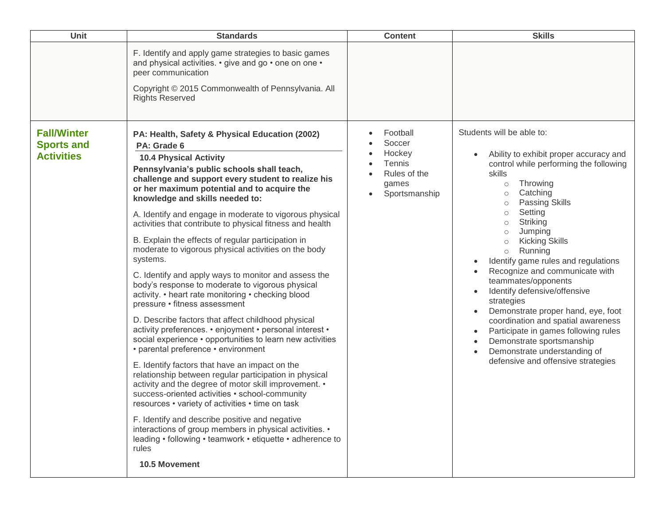| Unit                                                         | <b>Standards</b>                                                                                                                                                                                                                                                                                                                                                                                                                                                                                                                                                                                                                                                                                                                                                                                                                                                                                                                                                                                                                                                                                                                                                                                                                                                                                                                                                                                                                              | <b>Content</b>                                                                   | <b>Skills</b>                                                                                                                                                                                                                                                                                                                                                                                                                                                                                                                                                                                                                                                                                                 |
|--------------------------------------------------------------|-----------------------------------------------------------------------------------------------------------------------------------------------------------------------------------------------------------------------------------------------------------------------------------------------------------------------------------------------------------------------------------------------------------------------------------------------------------------------------------------------------------------------------------------------------------------------------------------------------------------------------------------------------------------------------------------------------------------------------------------------------------------------------------------------------------------------------------------------------------------------------------------------------------------------------------------------------------------------------------------------------------------------------------------------------------------------------------------------------------------------------------------------------------------------------------------------------------------------------------------------------------------------------------------------------------------------------------------------------------------------------------------------------------------------------------------------|----------------------------------------------------------------------------------|---------------------------------------------------------------------------------------------------------------------------------------------------------------------------------------------------------------------------------------------------------------------------------------------------------------------------------------------------------------------------------------------------------------------------------------------------------------------------------------------------------------------------------------------------------------------------------------------------------------------------------------------------------------------------------------------------------------|
|                                                              | F. Identify and apply game strategies to basic games<br>and physical activities. • give and go • one on one •<br>peer communication<br>Copyright © 2015 Commonwealth of Pennsylvania. All<br><b>Rights Reserved</b>                                                                                                                                                                                                                                                                                                                                                                                                                                                                                                                                                                                                                                                                                                                                                                                                                                                                                                                                                                                                                                                                                                                                                                                                                           |                                                                                  |                                                                                                                                                                                                                                                                                                                                                                                                                                                                                                                                                                                                                                                                                                               |
| <b>Fall/Winter</b><br><b>Sports and</b><br><b>Activities</b> | PA: Health, Safety & Physical Education (2002)<br>PA: Grade 6<br><b>10.4 Physical Activity</b><br>Pennsylvania's public schools shall teach,<br>challenge and support every student to realize his<br>or her maximum potential and to acquire the<br>knowledge and skills needed to:<br>A. Identify and engage in moderate to vigorous physical<br>activities that contribute to physical fitness and health<br>B. Explain the effects of regular participation in<br>moderate to vigorous physical activities on the body<br>systems.<br>C. Identify and apply ways to monitor and assess the<br>body's response to moderate to vigorous physical<br>activity. • heart rate monitoring • checking blood<br>pressure • fitness assessment<br>D. Describe factors that affect childhood physical<br>activity preferences. • enjoyment • personal interest •<br>social experience • opportunities to learn new activities<br>• parental preference • environment<br>E. Identify factors that have an impact on the<br>relationship between regular participation in physical<br>activity and the degree of motor skill improvement. •<br>success-oriented activities • school-community<br>resources • variety of activities • time on task<br>F. Identify and describe positive and negative<br>interactions of group members in physical activities. •<br>leading • following • teamwork • etiquette • adherence to<br>rules<br>10.5 Movement | Football<br>Soccer<br>Hockey<br>Tennis<br>Rules of the<br>games<br>Sportsmanship | Students will be able to:<br>Ability to exhibit proper accuracy and<br>control while performing the following<br>skills<br>Throwing<br>$\circ$<br>Catching<br>$\circ$<br><b>Passing Skills</b><br>$\circ$<br>Setting<br>$\circ$<br>Striking<br>$\circ$<br>Jumping<br>$\circ$<br><b>Kicking Skills</b><br>Running<br>$\circ$<br>Identify game rules and regulations<br>Recognize and communicate with<br>teammates/opponents<br>Identify defensive/offensive<br>strategies<br>Demonstrate proper hand, eye, foot<br>coordination and spatial awareness<br>Participate in games following rules<br>$\bullet$<br>Demonstrate sportsmanship<br>Demonstrate understanding of<br>defensive and offensive strategies |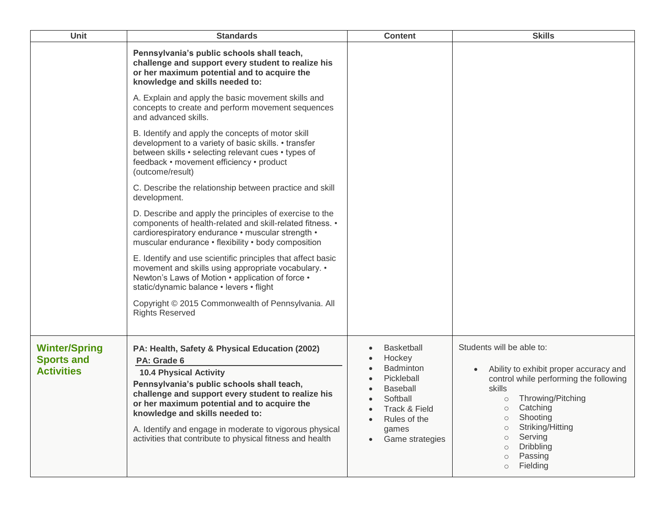| Unit                                                           | <b>Standards</b>                                                                                                                                                                                                                                                                                                                                                                                             | <b>Content</b>                                                                                                                                            | <b>Skills</b>                                                                                                                                                                                                                                                                                                             |
|----------------------------------------------------------------|--------------------------------------------------------------------------------------------------------------------------------------------------------------------------------------------------------------------------------------------------------------------------------------------------------------------------------------------------------------------------------------------------------------|-----------------------------------------------------------------------------------------------------------------------------------------------------------|---------------------------------------------------------------------------------------------------------------------------------------------------------------------------------------------------------------------------------------------------------------------------------------------------------------------------|
|                                                                | Pennsylvania's public schools shall teach,<br>challenge and support every student to realize his<br>or her maximum potential and to acquire the<br>knowledge and skills needed to:                                                                                                                                                                                                                           |                                                                                                                                                           |                                                                                                                                                                                                                                                                                                                           |
|                                                                | A. Explain and apply the basic movement skills and<br>concepts to create and perform movement sequences<br>and advanced skills.                                                                                                                                                                                                                                                                              |                                                                                                                                                           |                                                                                                                                                                                                                                                                                                                           |
|                                                                | B. Identify and apply the concepts of motor skill<br>development to a variety of basic skills. • transfer<br>between skills • selecting relevant cues • types of<br>feedback • movement efficiency • product<br>(outcome/result)                                                                                                                                                                             |                                                                                                                                                           |                                                                                                                                                                                                                                                                                                                           |
|                                                                | C. Describe the relationship between practice and skill<br>development.                                                                                                                                                                                                                                                                                                                                      |                                                                                                                                                           |                                                                                                                                                                                                                                                                                                                           |
|                                                                | D. Describe and apply the principles of exercise to the<br>components of health-related and skill-related fitness. •<br>cardiorespiratory endurance · muscular strength ·<br>muscular endurance • flexibility • body composition                                                                                                                                                                             |                                                                                                                                                           |                                                                                                                                                                                                                                                                                                                           |
|                                                                | E. Identify and use scientific principles that affect basic<br>movement and skills using appropriate vocabulary. •<br>Newton's Laws of Motion • application of force •<br>static/dynamic balance · levers · flight                                                                                                                                                                                           |                                                                                                                                                           |                                                                                                                                                                                                                                                                                                                           |
|                                                                | Copyright © 2015 Commonwealth of Pennsylvania. All<br><b>Rights Reserved</b>                                                                                                                                                                                                                                                                                                                                 |                                                                                                                                                           |                                                                                                                                                                                                                                                                                                                           |
| <b>Winter/Spring</b><br><b>Sports and</b><br><b>Activities</b> | PA: Health, Safety & Physical Education (2002)<br>PA: Grade 6<br><b>10.4 Physical Activity</b><br>Pennsylvania's public schools shall teach,<br>challenge and support every student to realize his<br>or her maximum potential and to acquire the<br>knowledge and skills needed to:<br>A. Identify and engage in moderate to vigorous physical<br>activities that contribute to physical fitness and health | <b>Basketball</b><br>Hockey<br><b>Badminton</b><br>Pickleball<br><b>Baseball</b><br>Softball<br>Track & Field<br>Rules of the<br>games<br>Game strategies | Students will be able to:<br>Ability to exhibit proper accuracy and<br>control while performing the following<br>skills<br>Throwing/Pitching<br>$\circ$<br>Catching<br>О<br>Shooting<br>$\circ$<br>Striking/Hitting<br>$\circ$<br>Serving<br>$\circ$<br>Dribbling<br>$\circ$<br>Passing<br>$\circ$<br>Fielding<br>$\circ$ |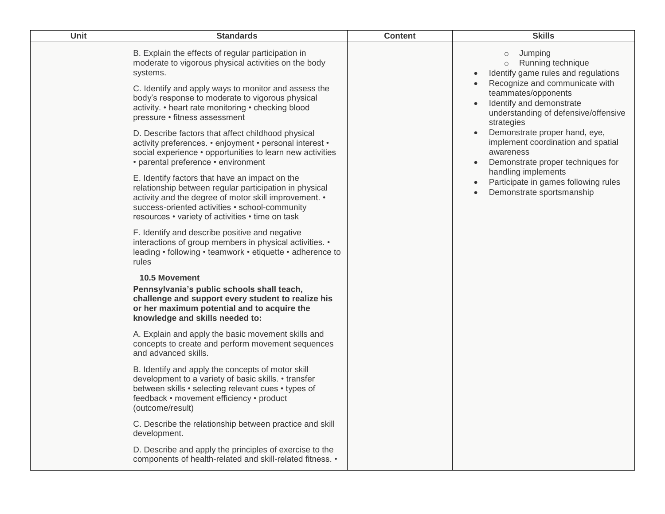| Unit | <b>Standards</b>                                                                                                                                                                                                                                                                                                                                                                                                                                                                                                                                                                                                                                           | <b>Content</b> | <b>Skills</b>                                                                                                                                                                                                                                                                                                                                                                                                                |
|------|------------------------------------------------------------------------------------------------------------------------------------------------------------------------------------------------------------------------------------------------------------------------------------------------------------------------------------------------------------------------------------------------------------------------------------------------------------------------------------------------------------------------------------------------------------------------------------------------------------------------------------------------------------|----------------|------------------------------------------------------------------------------------------------------------------------------------------------------------------------------------------------------------------------------------------------------------------------------------------------------------------------------------------------------------------------------------------------------------------------------|
|      | B. Explain the effects of regular participation in<br>moderate to vigorous physical activities on the body<br>systems.<br>C. Identify and apply ways to monitor and assess the<br>body's response to moderate to vigorous physical<br>activity. • heart rate monitoring • checking blood<br>pressure • fitness assessment<br>D. Describe factors that affect childhood physical<br>activity preferences. • enjoyment • personal interest •<br>social experience • opportunities to learn new activities<br>• parental preference • environment<br>E. Identify factors that have an impact on the<br>relationship between regular participation in physical |                | Jumping<br>$\circ$<br>Running technique<br>$\circ$<br>Identify game rules and regulations<br>Recognize and communicate with<br>teammates/opponents<br>Identify and demonstrate<br>understanding of defensive/offensive<br>strategies<br>Demonstrate proper hand, eye,<br>implement coordination and spatial<br>awareness<br>Demonstrate proper techniques for<br>handling implements<br>Participate in games following rules |
|      | activity and the degree of motor skill improvement. •<br>success-oriented activities • school-community<br>resources • variety of activities • time on task                                                                                                                                                                                                                                                                                                                                                                                                                                                                                                |                | Demonstrate sportsmanship                                                                                                                                                                                                                                                                                                                                                                                                    |
|      | F. Identify and describe positive and negative<br>interactions of group members in physical activities. •<br>leading • following • teamwork • etiquette • adherence to<br>rules                                                                                                                                                                                                                                                                                                                                                                                                                                                                            |                |                                                                                                                                                                                                                                                                                                                                                                                                                              |
|      | <b>10.5 Movement</b><br>Pennsylvania's public schools shall teach,<br>challenge and support every student to realize his<br>or her maximum potential and to acquire the<br>knowledge and skills needed to:                                                                                                                                                                                                                                                                                                                                                                                                                                                 |                |                                                                                                                                                                                                                                                                                                                                                                                                                              |
|      | A. Explain and apply the basic movement skills and<br>concepts to create and perform movement sequences<br>and advanced skills.                                                                                                                                                                                                                                                                                                                                                                                                                                                                                                                            |                |                                                                                                                                                                                                                                                                                                                                                                                                                              |
|      | B. Identify and apply the concepts of motor skill<br>development to a variety of basic skills. • transfer<br>between skills • selecting relevant cues • types of<br>feedback • movement efficiency • product<br>(outcome/result)                                                                                                                                                                                                                                                                                                                                                                                                                           |                |                                                                                                                                                                                                                                                                                                                                                                                                                              |
|      | C. Describe the relationship between practice and skill<br>development.                                                                                                                                                                                                                                                                                                                                                                                                                                                                                                                                                                                    |                |                                                                                                                                                                                                                                                                                                                                                                                                                              |
|      | D. Describe and apply the principles of exercise to the<br>components of health-related and skill-related fitness. •                                                                                                                                                                                                                                                                                                                                                                                                                                                                                                                                       |                |                                                                                                                                                                                                                                                                                                                                                                                                                              |